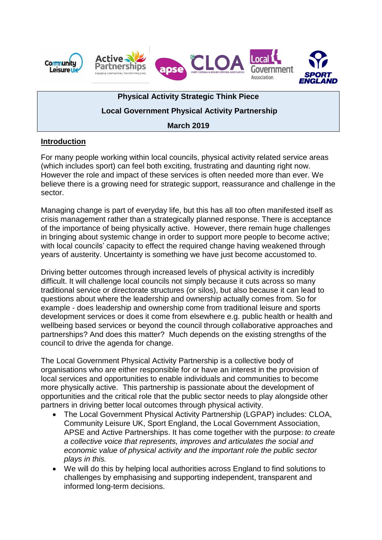

# **Physical Activity Strategic Think Piece**

# **Local Government Physical Activity Partnership**

## **March 2019**

## **Introduction**

For many people working within local councils, physical activity related service areas (which includes sport) can feel both exciting, frustrating and daunting right now. However the role and impact of these services is often needed more than ever. We believe there is a growing need for strategic support, reassurance and challenge in the sector.

Managing change is part of everyday life, but this has all too often manifested itself as crisis management rather than a strategically planned response. There is acceptance of the importance of being physically active. However, there remain huge challenges in bringing about systemic change in order to support more people to become active; with local councils' capacity to effect the required change having weakened through years of austerity. Uncertainty is something we have just become accustomed to.

Driving better outcomes through increased levels of physical activity is incredibly difficult. It will challenge local councils not simply because it cuts across so many traditional service or directorate structures (or silos), but also because it can lead to questions about where the leadership and ownership actually comes from. So for example - does leadership and ownership come from traditional leisure and sports development services or does it come from elsewhere e.g. public health or health and wellbeing based services or beyond the council through collaborative approaches and partnerships? And does this matter? Much depends on the existing strengths of the council to drive the agenda for change.

The Local Government Physical Activity Partnership is a collective body of organisations who are either responsible for or have an interest in the provision of local services and opportunities to enable individuals and communities to become more physically active. This partnership is passionate about the development of opportunities and the critical role that the public sector needs to play alongside other partners in driving better local outcomes through physical activity.

- The Local Government Physical Activity Partnership (LGPAP) includes: CLOA, Community Leisure UK, Sport England, the Local Government Association, APSE and Active Partnerships. It has come together with the purpose: *to create a collective voice that represents, improves and articulates the social and economic value of physical activity and the important role the public sector plays in this.*
- We will do this by helping local authorities across England to find solutions to challenges by emphasising and supporting independent, transparent and informed long-term decisions.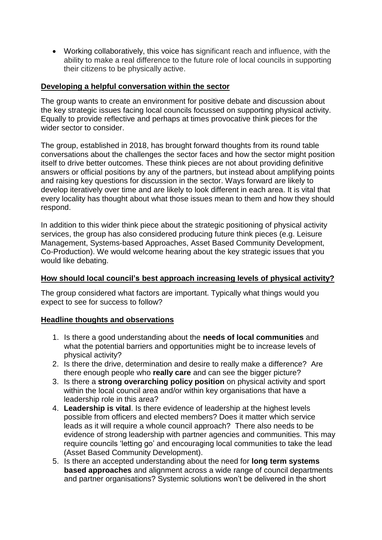Working collaboratively, this voice has significant reach and influence, with the ability to make a real difference to the future role of local councils in supporting their citizens to be physically active.

## **Developing a helpful conversation within the sector**

The group wants to create an environment for positive debate and discussion about the key strategic issues facing local councils focussed on supporting physical activity. Equally to provide reflective and perhaps at times provocative think pieces for the wider sector to consider.

The group, established in 2018, has brought forward thoughts from its round table conversations about the challenges the sector faces and how the sector might position itself to drive better outcomes. These think pieces are not about providing definitive answers or official positions by any of the partners, but instead about amplifying points and raising key questions for discussion in the sector. Ways forward are likely to develop iteratively over time and are likely to look different in each area. It is vital that every locality has thought about what those issues mean to them and how they should respond.

In addition to this wider think piece about the strategic positioning of physical activity services, the group has also considered producing future think pieces (e.g. Leisure Management, Systems-based Approaches, Asset Based Community Development, Co-Production). We would welcome hearing about the key strategic issues that you would like debating.

### **How should local council's best approach increasing levels of physical activity?**

The group considered what factors are important. Typically what things would you expect to see for success to follow?

### **Headline thoughts and observations**

- 1. Is there a good understanding about the **needs of local communities** and what the potential barriers and opportunities might be to increase levels of physical activity?
- 2. Is there the drive, determination and desire to really make a difference? Are there enough people who **really care** and can see the bigger picture?
- 3. Is there a **strong overarching policy position** on physical activity and sport within the local council area and/or within key organisations that have a leadership role in this area?
- 4. **Leadership is vital**. Is there evidence of leadership at the highest levels possible from officers and elected members? Does it matter which service leads as it will require a whole council approach? There also needs to be evidence of strong leadership with partner agencies and communities. This may require councils 'letting go' and encouraging local communities to take the lead (Asset Based Community Development).
- 5. Is there an accepted understanding about the need for **long term systems based approaches** and alignment across a wide range of council departments and partner organisations? Systemic solutions won't be delivered in the short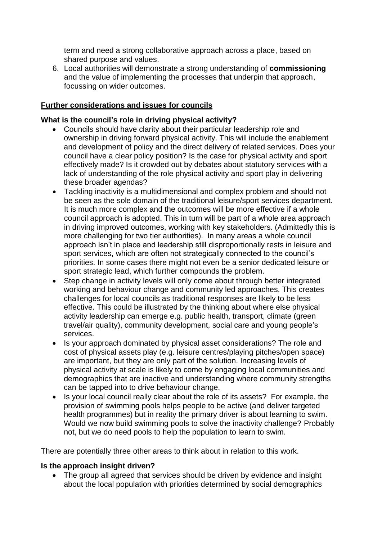term and need a strong collaborative approach across a place, based on shared purpose and values.

6. Local authorities will demonstrate a strong understanding of **commissioning** and the value of implementing the processes that underpin that approach, focussing on wider outcomes.

## **Further considerations and issues for councils**

### **What is the council's role in driving physical activity?**

- Councils should have clarity about their particular leadership role and ownership in driving forward physical activity. This will include the enablement and development of policy and the direct delivery of related services. Does your council have a clear policy position? Is the case for physical activity and sport effectively made? Is it crowded out by debates about statutory services with a lack of understanding of the role physical activity and sport play in delivering these broader agendas?
- Tackling inactivity is a multidimensional and complex problem and should not be seen as the sole domain of the traditional leisure/sport services department. It is much more complex and the outcomes will be more effective if a whole council approach is adopted. This in turn will be part of a whole area approach in driving improved outcomes, working with key stakeholders. (Admittedly this is more challenging for two tier authorities). In many areas a whole council approach isn't in place and leadership still disproportionally rests in leisure and sport services, which are often not strategically connected to the council's priorities. In some cases there might not even be a senior dedicated leisure or sport strategic lead, which further compounds the problem.
- Step change in activity levels will only come about through better integrated working and behaviour change and community led approaches. This creates challenges for local councils as traditional responses are likely to be less effective. This could be illustrated by the thinking about where else physical activity leadership can emerge e.g. public health, transport, climate (green travel/air quality), community development, social care and young people's services.
- Is your approach dominated by physical asset considerations? The role and cost of physical assets play (e.g. leisure centres/playing pitches/open space) are important, but they are only part of the solution. Increasing levels of physical activity at scale is likely to come by engaging local communities and demographics that are inactive and understanding where community strengths can be tapped into to drive behaviour change.
- Is your local council really clear about the role of its assets? For example, the provision of swimming pools helps people to be active (and deliver targeted health programmes) but in reality the primary driver is about learning to swim. Would we now build swimming pools to solve the inactivity challenge? Probably not, but we do need pools to help the population to learn to swim.

There are potentially three other areas to think about in relation to this work.

### **Is the approach insight driven?**

• The group all agreed that services should be driven by evidence and insight about the local population with priorities determined by social demographics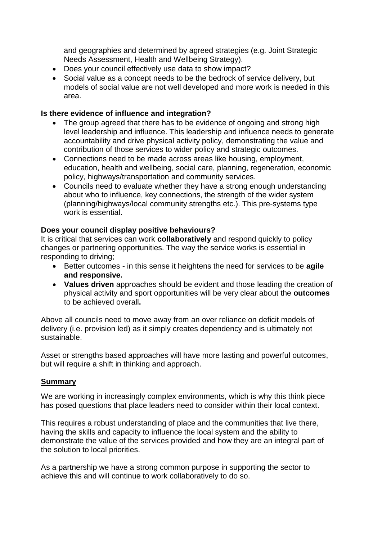and geographies and determined by agreed strategies (e.g. Joint Strategic Needs Assessment, Health and Wellbeing Strategy).

- Does your council effectively use data to show impact?
- Social value as a concept needs to be the bedrock of service delivery, but models of social value are not well developed and more work is needed in this area.

## **Is there evidence of influence and integration?**

- The group agreed that there has to be evidence of ongoing and strong high level leadership and influence. This leadership and influence needs to generate accountability and drive physical activity policy, demonstrating the value and contribution of those services to wider policy and strategic outcomes.
- Connections need to be made across areas like housing, employment, education, health and wellbeing, social care, planning, regeneration, economic policy, highways/transportation and community services.
- Councils need to evaluate whether they have a strong enough understanding about who to influence, key connections, the strength of the wider system (planning/highways/local community strengths etc.). This pre-systems type work is essential.

## **Does your council display positive behaviours?**

It is critical that services can work **collaboratively** and respond quickly to policy changes or partnering opportunities. The way the service works is essential in responding to driving;

- Better outcomes in this sense it heightens the need for services to be **agile and responsive.**
- **Values driven** approaches should be evident and those leading the creation of physical activity and sport opportunities will be very clear about the **outcomes**  to be achieved overall**.**

Above all councils need to move away from an over reliance on deficit models of delivery (i.e. provision led) as it simply creates dependency and is ultimately not sustainable.

Asset or strengths based approaches will have more lasting and powerful outcomes, but will require a shift in thinking and approach.

### **Summary**

We are working in increasingly complex environments, which is why this think piece has posed questions that place leaders need to consider within their local context.

This requires a robust understanding of place and the communities that live there, having the skills and capacity to influence the local system and the ability to demonstrate the value of the services provided and how they are an integral part of the solution to local priorities.

As a partnership we have a strong common purpose in supporting the sector to achieve this and will continue to work collaboratively to do so.